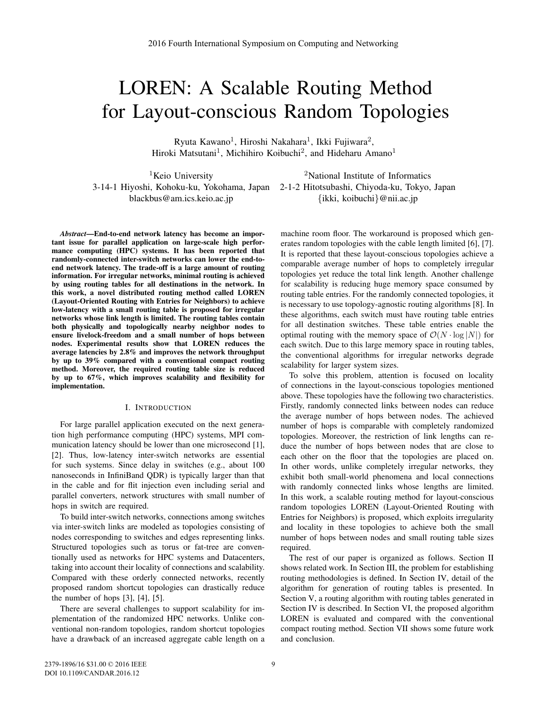# LOREN: A Scalable Routing Method for Layout-conscious Random Topologies

Ryuta Kawano<sup>1</sup>, Hiroshi Nakahara<sup>1</sup>, Ikki Fujiwara<sup>2</sup>, Hiroki Matsutani<sup>1</sup>, Michihiro Koibuchi<sup>2</sup>, and Hideharu Amano<sup>1</sup>

3-14-1 Hiyoshi, Kohoku-ku, Yokohama, Japan 2-1-2 Hitotsubashi, Chiyoda-ku, Tokyo, Japan

 ${}^{1}$ Keio University  ${}^{2}$ National Institute of Informatics blackbus@am.ics.keio.ac.jp {ikki, koibuchi}@nii.ac.jp

*Abstract*—End-to-end network latency has become an important issue for parallel application on large-scale high performance computing (HPC) systems. It has been reported that randomly-connected inter-switch networks can lower the end-toend network latency. The trade-off is a large amount of routing information. For irregular networks, minimal routing is achieved by using routing tables for all destinations in the network. In this work, a novel distributed routing method called LOREN (Layout-Oriented Routing with Entries for Neighbors) to achieve low-latency with a small routing table is proposed for irregular networks whose link length is limited. The routing tables contain both physically and topologically nearby neighbor nodes to ensure livelock-freedom and a small number of hops between nodes. Experimental results show that LOREN reduces the average latencies by 2.8% and improves the network throughput by up to 39% compared with a conventional compact routing method. Moreover, the required routing table size is reduced by up to 67%, which improves scalability and flexibility for implementation.

# I. INTRODUCTION

For large parallel application executed on the next generation high performance computing (HPC) systems, MPI communication latency should be lower than one microsecond [1], [2]. Thus, low-latency inter-switch networks are essential for such systems. Since delay in switches (e.g., about 100 nanoseconds in InfiniBand QDR) is typically larger than that in the cable and for flit injection even including serial and parallel converters, network structures with small number of hops in switch are required.

To build inter-switch networks, connections among switches via inter-switch links are modeled as topologies consisting of nodes corresponding to switches and edges representing links. Structured topologies such as torus or fat-tree are conventionally used as networks for HPC systems and Datacenters, taking into account their locality of connections and scalability. Compared with these orderly connected networks, recently proposed random shortcut topologies can drastically reduce the number of hops  $[3]$ ,  $[4]$ ,  $[5]$ .

There are several challenges to support scalability for implementation of the randomized HPC networks. Unlike conventional non-random topologies, random shortcut topologies have a drawback of an increased aggregate cable length on a machine room floor. The workaround is proposed which generates random topologies with the cable length limited [6], [7]. It is reported that these layout-conscious topologies achieve a comparable average number of hops to completely irregular topologies yet reduce the total link length. Another challenge for scalability is reducing huge memory space consumed by routing table entries. For the randomly connected topologies, it is necessary to use topology-agnostic routing algorithms [8]. In these algorithms, each switch must have routing table entries for all destination switches. These table entries enable the optimal routing with the memory space of  $\mathcal{O}(N \cdot \log |N|)$  for each switch. Due to this large memory space in routing tables, the conventional algorithms for irregular networks degrade scalability for larger system sizes.

To solve this problem, attention is focused on locality of connections in the layout-conscious topologies mentioned above. These topologies have the following two characteristics. Firstly, randomly connected links between nodes can reduce the average number of hops between nodes. The achieved number of hops is comparable with completely randomized topologies. Moreover, the restriction of link lengths can reduce the number of hops between nodes that are close to each other on the floor that the topologies are placed on. In other words, unlike completely irregular networks, they exhibit both small-world phenomena and local connections with randomly connected links whose lengths are limited. In this work, a scalable routing method for layout-conscious random topologies LOREN (Layout-Oriented Routing with Entries for Neighbors) is proposed, which exploits irregularity and locality in these topologies to achieve both the small number of hops between nodes and small routing table sizes required.

The rest of our paper is organized as follows. Section II shows related work. In Section III, the problem for establishing routing methodologies is defined. In Section IV, detail of the algorithm for generation of routing tables is presented. In Section V, a routing algorithm with routing tables generated in Section IV is described. In Section VI, the proposed algorithm LOREN is evaluated and compared with the conventional compact routing method. Section VII shows some future work and conclusion.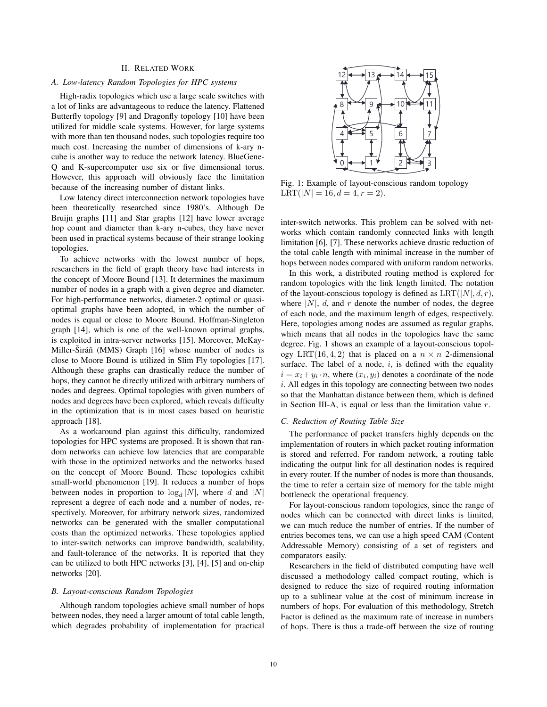# II. RELATED WORK

# *A. Low-latency Random Topologies for HPC systems*

High-radix topologies which use a large scale switches with a lot of links are advantageous to reduce the latency. Flattened Butterfly topology [9] and Dragonfly topology [10] have been utilized for middle scale systems. However, for large systems with more than ten thousand nodes, such topologies require too much cost. Increasing the number of dimensions of k-ary ncube is another way to reduce the network latency. BlueGene-Q and K-supercomputer use six or five dimensional torus. However, this approach will obviously face the limitation because of the increasing number of distant links.

Low latency direct interconnection network topologies have been theoretically researched since 1980's. Although De Bruijn graphs [11] and Star graphs [12] have lower average hop count and diameter than k-ary n-cubes, they have never been used in practical systems because of their strange looking topologies.

To achieve networks with the lowest number of hops, researchers in the field of graph theory have had interests in the concept of Moore Bound [13]. It determines the maximum number of nodes in a graph with a given degree and diameter. For high-performance networks, diameter-2 optimal or quasioptimal graphs have been adopted, in which the number of nodes is equal or close to Moore Bound. Hoffman-Singleton graph [14], which is one of the well-known optimal graphs, is exploited in intra-server networks [15]. Moreover, McKay-Miller-Siráň (MMS) Graph [16] whose number of nodes is close to Moore Bound is utilized in Slim Fly topologies [17]. Although these graphs can drastically reduce the number of hops, they cannot be directly utilized with arbitrary numbers of nodes and degrees. Optimal topologies with given numbers of nodes and degrees have been explored, which reveals difficulty in the optimization that is in most cases based on heuristic approach [18].

As a workaround plan against this difficulty, randomized topologies for HPC systems are proposed. It is shown that random networks can achieve low latencies that are comparable with those in the optimized networks and the networks based on the concept of Moore Bound. These topologies exhibit small-world phenomenon [19]. It reduces a number of hops between nodes in proportion to  $\log_d |N|$ , where d and  $|N|$ represent a degree of each node and a number of nodes, respectively. Moreover, for arbitrary network sizes, randomized networks can be generated with the smaller computational costs than the optimized networks. These topologies applied to inter-switch networks can improve bandwidth, scalability, and fault-tolerance of the networks. It is reported that they can be utilized to both HPC networks [3], [4], [5] and on-chip networks [20].

#### *B. Layout-conscious Random Topologies*

Although random topologies achieve small number of hops between nodes, they need a larger amount of total cable length, which degrades probability of implementation for practical



Fig. 1: Example of layout-conscious random topology  $LRT(|N| = 16, d = 4, r = 2).$ 

inter-switch networks. This problem can be solved with networks which contain randomly connected links with length limitation [6], [7]. These networks achieve drastic reduction of the total cable length with minimal increase in the number of hops between nodes compared with uniform random networks.

In this work, a distributed routing method is explored for random topologies with the link length limited. The notation of the layout-conscious topology is defined as  $LRT(|N|, d, r)$ , where  $|N|$ , d, and r denote the number of nodes, the degree of each node, and the maximum length of edges, respectively. Here, topologies among nodes are assumed as regular graphs, which means that all nodes in the topologies have the same degree. Fig. 1 shows an example of a layout-conscious topology LRT(16, 4, 2) that is placed on a  $n \times n$  2-dimensional surface. The label of a node,  $i$ , is defined with the equality  $i = x_i + y_i \cdot n$ , where  $(x_i, y_i)$  denotes a coordinate of the node i. All edges in this topology are connecting between two nodes so that the Manhattan distance between them, which is defined in Section III-A, is equal or less than the limitation value  $r$ .

# *C. Reduction of Routing Table Size*

The performance of packet transfers highly depends on the implementation of routers in which packet routing information is stored and referred. For random network, a routing table indicating the output link for all destination nodes is required in every router. If the number of nodes is more than thousands, the time to refer a certain size of memory for the table might bottleneck the operational frequency.

For layout-conscious random topologies, since the range of nodes which can be connected with direct links is limited, we can much reduce the number of entries. If the number of entries becomes tens, we can use a high speed CAM (Content Addressable Memory) consisting of a set of registers and comparators easily.

Researchers in the field of distributed computing have well discussed a methodology called compact routing, which is designed to reduce the size of required routing information up to a sublinear value at the cost of minimum increase in numbers of hops. For evaluation of this methodology, Stretch Factor is defined as the maximum rate of increase in numbers of hops. There is thus a trade-off between the size of routing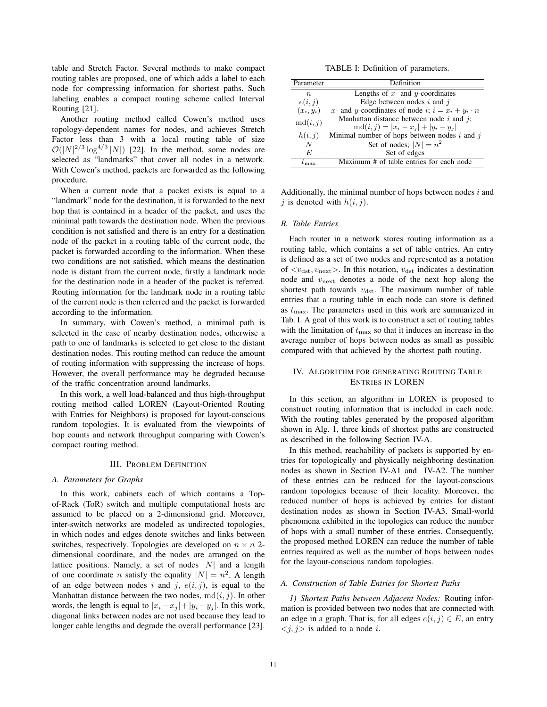table and Stretch Factor. Several methods to make compact routing tables are proposed, one of which adds a label to each node for compressing information for shortest paths. Such labeling enables a compact routing scheme called Interval Routing [21].

Another routing method called Cowen's method uses topology-dependent names for nodes, and achieves Stretch Factor less than 3 with a local routing table of size  $\mathcal{O}(|N|^{2/3} \log^{4/3} |N|)$  [22]. In the method, some nodes are selected as "landmarks" that cover all nodes in a network. With Cowen's method, packets are forwarded as the following procedure.

When a current node that a packet exists is equal to a "landmark" node for the destination, it is forwarded to the next hop that is contained in a header of the packet, and uses the minimal path towards the destination node. When the previous condition is not satisfied and there is an entry for a destination node of the packet in a routing table of the current node, the packet is forwarded according to the information. When these two conditions are not satisfied, which means the destination node is distant from the current node, firstly a landmark node for the destination node in a header of the packet is referred. Routing information for the landmark node in a routing table of the current node is then referred and the packet is forwarded according to the information.

In summary, with Cowen's method, a minimal path is selected in the case of nearby destination nodes, otherwise a path to one of landmarks is selected to get close to the distant destination nodes. This routing method can reduce the amount of routing information with suppressing the increase of hops. However, the overall performance may be degraded because of the traffic concentration around landmarks.

In this work, a well load-balanced and thus high-throughput routing method called LOREN (Layout-Oriented Routing with Entries for Neighbors) is proposed for layout-conscious random topologies. It is evaluated from the viewpoints of hop counts and network throughput comparing with Cowen's compact routing method.

### III. PROBLEM DEFINITION

#### *A. Parameters for Graphs*

In this work, cabinets each of which contains a Topof-Rack (ToR) switch and multiple computational hosts are assumed to be placed on a 2-dimensional grid. Moreover, inter-switch networks are modeled as undirected topologies, in which nodes and edges denote switches and links between switches, respectively. Topologies are developed on  $n \times n$  2dimensional coordinate, and the nodes are arranged on the lattice positions. Namely, a set of nodes  $|N|$  and a length of one coordinate *n* satisfy the equality  $|N| = n^2$ . A length of an edge between nodes i and j,  $e(i, j)$ , is equal to the Manhattan distance between the two nodes,  $\mathrm{md}(i, j)$ . In other words, the length is equal to  $|x_i - x_j| + |y_i - y_j|$ . In this work, diagonal links between nodes are not used because they lead to longer cable lengths and degrade the overall performance [23].

TABLE I: Definition of parameters.

| Definition<br>Parameter<br>Lengths of $x$ - and $y$ -coordinates<br>$\boldsymbol{n}$<br>e(i, j)<br>Edge between nodes $i$ and $j$<br>$(x_i,y_i)$<br>x- and y-coordinates of node i; $i = x_i + y_i \cdot n$<br>Manhattan distance between node $i$ and $j$ ;<br>md(i, j)<br>$\mathrm{md}(i, j) =  x_i - x_j  +  y_i - y_j $<br>h(i, j)<br>Minimal number of hops between nodes $i$ and $j$<br>Set of nodes; $ N  = n^2$<br>Set of edges<br>E<br>Maximum # of table entries for each node<br>$_{t_{\rm max}}$ |  |  |  |  |
|--------------------------------------------------------------------------------------------------------------------------------------------------------------------------------------------------------------------------------------------------------------------------------------------------------------------------------------------------------------------------------------------------------------------------------------------------------------------------------------------------------------|--|--|--|--|
|                                                                                                                                                                                                                                                                                                                                                                                                                                                                                                              |  |  |  |  |
|                                                                                                                                                                                                                                                                                                                                                                                                                                                                                                              |  |  |  |  |
|                                                                                                                                                                                                                                                                                                                                                                                                                                                                                                              |  |  |  |  |
|                                                                                                                                                                                                                                                                                                                                                                                                                                                                                                              |  |  |  |  |
|                                                                                                                                                                                                                                                                                                                                                                                                                                                                                                              |  |  |  |  |
|                                                                                                                                                                                                                                                                                                                                                                                                                                                                                                              |  |  |  |  |
|                                                                                                                                                                                                                                                                                                                                                                                                                                                                                                              |  |  |  |  |
|                                                                                                                                                                                                                                                                                                                                                                                                                                                                                                              |  |  |  |  |
|                                                                                                                                                                                                                                                                                                                                                                                                                                                                                                              |  |  |  |  |
|                                                                                                                                                                                                                                                                                                                                                                                                                                                                                                              |  |  |  |  |

Additionally, the minimal number of hops between nodes  $i$  and j is denoted with  $h(i, j)$ .

#### *B. Table Entries*

Each router in a network stores routing information as a routing table, which contains a set of table entries. An entry is defined as a set of two nodes and represented as a notation of  $\langle v_{\text{dst}}, v_{\text{next}} \rangle$ . In this notation,  $v_{\text{dst}}$  indicates a destination node and  $v_{\text{next}}$  denotes a node of the next hop along the shortest path towards  $v_{\text{dst}}$ . The maximum number of table entries that a routing table in each node can store is defined as  $t_{\text{max}}$ . The parameters used in this work are summarized in Tab. I. A goal of this work is to construct a set of routing tables with the limitation of  $t_{\text{max}}$  so that it induces an increase in the average number of hops between nodes as small as possible compared with that achieved by the shortest path routing.

# IV. ALGORITHM FOR GENERATING ROUTING TABLE ENTRIES IN LOREN

In this section, an algorithm in LOREN is proposed to construct routing information that is included in each node. With the routing tables generated by the proposed algorithm shown in Alg. 1, three kinds of shortest paths are constructed as described in the following Section IV-A.

In this method, reachability of packets is supported by entries for topologically and physically neighboring destination nodes as shown in Section IV-A1 and IV-A2. The number of these entries can be reduced for the layout-conscious random topologies because of their locality. Moreover, the reduced number of hops is achieved by entries for distant destination nodes as shown in Section IV-A3. Small-world phenomena exhibited in the topologies can reduce the number of hops with a small number of these entries. Consequently, the proposed method LOREN can reduce the number of table entries required as well as the number of hops between nodes for the layout-conscious random topologies.

### *A. Construction of Table Entries for Shortest Paths*

*1) Shortest Paths between Adjacent Nodes:* Routing information is provided between two nodes that are connected with an edge in a graph. That is, for all edges  $e(i, j) \in E$ , an entry  $\langle j, j \rangle$  is added to a node *i*.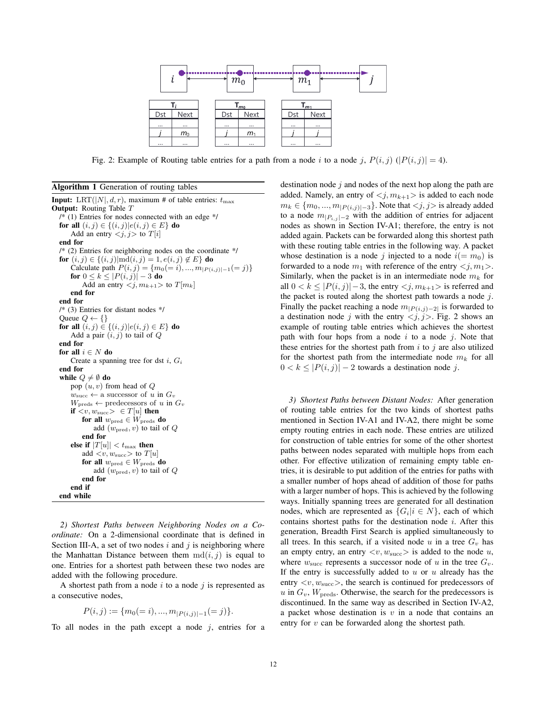

Fig. 2: Example of Routing table entries for a path from a node i to a node j,  $P(i, j)$  ( $|P(i, j)| = 4$ ).

Algorithm 1 Generation of routing tables

**Input:** LRT(|N|, d, r), maximum # of table entries:  $t_{\text{max}}$ Output: Routing Table T /\* (1) Entries for nodes connected with an edge \*/ for all  $(i, j) \in \{(i, j) | e(i, j) \in E\}$  do Add an entry  $\langle j, j \rangle$  to  $T[i]$ end for /\* (2) Entries for neighboring nodes on the coordinate \*/ for  $(i, j) \in \{(i, j) | \text{md}(i, j) = 1, e(i, j) \notin E\}$  do Calculate path  $P(i, j) = \{m_0(= i), ..., m_{|P(i,j)|-1}(= j)\}$ for 0 ≤  $k$  ≤ | $P(i, j)$ | − 3 do Add an entry  $\langle j, m_{k+1} \rangle$  to  $T[m_k]$ end for end for /\* (3) Entries for distant nodes \*/ Queue  $Q \leftarrow \{\}$ for all  $(i, j) \in \{(i, j) | e(i, j) \in E\}$  do Add a pair  $(i, j)$  to tail of  $Q$ end for for all  $i \in N$  do Create a spanning tree for dst i,  $G_i$ end for while  $Q \neq \emptyset$  do pop  $(u, v)$  from head of  $Q$  $w_{succ} \leftarrow$  a successor of u in  $G_v$  $W_{\text{preds}} \leftarrow \text{predecessors of } u \text{ in } G_v$ if  $\langle v, w_{\text{succ}} \rangle \in T[u]$  then for all  $w_{\text{pred}} \in W_{\text{preds}}$  do add  $(w_{\text{pred}}, v)$  to tail of  $Q$ end for else if  $|T[u]| < t_{\text{max}}$  then add  $\langle v, w_{\text{succ}} \rangle$  to  $T|u|$ for all  $w_{\text{pred}} \in W_{\text{pred}}$  do add  $(w_{\text{pred}}, v)$  to tail of  $Q$ end for end if end while

*2) Shortest Paths between Neighboring Nodes on a Coordinate:* On a 2-dimensional coordinate that is defined in Section III-A, a set of two nodes  $i$  and  $j$  is neighboring where the Manhattan Distance between them  $m(d, j)$  is equal to one. Entries for a shortest path between these two nodes are added with the following procedure.

A shortest path from a node i to a node j is represented as a consecutive nodes,

$$
P(i,j):=\{m_0(=i),...,m_{|P(i,j)|-1}(=j)\}.
$$

To all nodes in the path except a node  $j$ , entries for a

destination node  $j$  and nodes of the next hop along the path are added. Namely, an entry of  $\langle j, m_{k+1} \rangle$  is added to each node  $m_k \in \{m_0, ..., m_{|P(i,j)|-3}\}.$  Note that  $\langle j, j \rangle$  is already added to a node  $m_{|P_{i,j}|-2}$  with the addition of entries for adjacent nodes as shown in Section IV-A1; therefore, the entry is not added again. Packets can be forwarded along this shortest path with these routing table entries in the following way. A packet whose destination is a node j injected to a node  $i(= m_0)$  is forwarded to a node  $m_1$  with reference of the entry  $\langle j, m_1 \rangle$ . Similarly, when the packet is in an intermediate node  $m_k$  for all  $0 < k \leq |P(i, j)| - 3$ , the entry  $\langle j, m_{k+1} \rangle$  is referred and the packet is routed along the shortest path towards a node  $i$ . Finally the packet reaching a node  $m_{|P(i,j)-2|}$  is forwarded to a destination node j with the entry  $\langle j, j \rangle$ . Fig. 2 shows an example of routing table entries which achieves the shortest path with four hops from a node  $i$  to a node  $j$ . Note that these entries for the shortest path from  $i$  to  $j$  are also utilized for the shortest path from the intermediate node  $m_k$  for all  $0 < k \leq |P(i, j)| - 2$  towards a destination node j.

*3) Shortest Paths between Distant Nodes:* After generation of routing table entries for the two kinds of shortest paths mentioned in Section IV-A1 and IV-A2, there might be some empty routing entries in each node. These entries are utilized for construction of table entries for some of the other shortest paths between nodes separated with multiple hops from each other. For effective utilization of remaining empty table entries, it is desirable to put addition of the entries for paths with a smaller number of hops ahead of addition of those for paths with a larger number of hops. This is achieved by the following ways. Initially spanning trees are generated for all destination nodes, which are represented as  $\{G_i | i \in N\}$ , each of which contains shortest paths for the destination node  $i$ . After this generation, Breadth First Search is applied simultaneously to all trees. In this search, if a visited node u in a tree  $G_v$  has an empty entry, an entry  $\langle v, w_{succ} \rangle$  is added to the node u, where  $w_{succ}$  represents a successor node of u in the tree  $G_v$ . If the entry is successfully added to  $u$  or  $u$  already has the entry  $\langle v, w_{succ} \rangle$ , the search is continued for predecessors of u in  $G_v$ ,  $W_{\text{preds}}$ . Otherwise, the search for the predecessors is discontinued. In the same way as described in Section IV-A2, a packet whose destination is  $v$  in a node that contains an entry for  $v$  can be forwarded along the shortest path.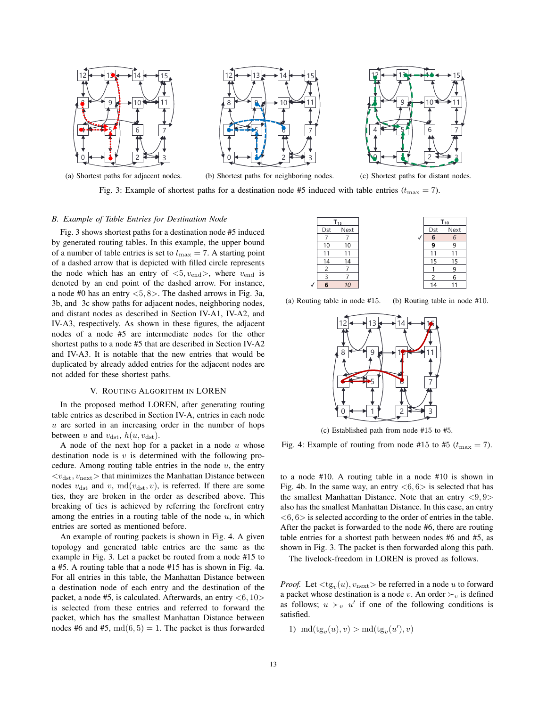



- $\overline{0}$ - $2 \rightarrow 1$  - $\leftrightarrow$  1 5 4  $\overline{\phantom{0}}$ 5 - $\frac{1}{2}$  | 2  $\bullet$   $\leftrightarrow$   $\circ$ 6 6 7 2 --

(a) Shortest paths for adjacent nodes.

(b) Shortest paths for neighboring nodes.

(c) Shortest paths for distant nodes.

Fig. 3: Example of shortest paths for a destination node #5 induced with table entries  $(t_{\text{max}} = 7)$ .

J

# *B. Example of Table Entries for Destination Node*

Fig. 3 shows shortest paths for a destination node #5 induced by generated routing tables. In this example, the upper bound of a number of table entries is set to  $t_{\text{max}} = 7$ . A starting point of a dashed arrow that is depicted with filled circle represents the node which has an entry of  $\langle 5, v_{\text{end}} \rangle$ , where  $v_{\text{end}}$  is denoted by an end point of the dashed arrow. For instance, a node #0 has an entry <5, 8>. The dashed arrows in Fig. 3a, 3b, and 3c show paths for adjacent nodes, neighboring nodes, and distant nodes as described in Section IV-A1, IV-A2, and IV-A3, respectively. As shown in these figures, the adjacent nodes of a node #5 are intermediate nodes for the other shortest paths to a node #5 that are described in Section IV-A2 and IV-A3. It is notable that the new entries that would be duplicated by already added entries for the adjacent nodes are not added for these shortest paths.

#### V. ROUTING ALGORITHM IN LOREN

In the proposed method LOREN, after generating routing table entries as described in Section IV-A, entries in each node  $u$  are sorted in an increasing order in the number of hops between u and  $v_{\text{dst}}$ ,  $h(u, v_{\text{dst}})$ .

A node of the next hop for a packet in a node  $u$  whose destination node is  $v$  is determined with the following procedure. Among routing table entries in the node  $u$ , the entry  $\langle v_{\text{dst}}, v_{\text{next}} \rangle$  that minimizes the Manhattan Distance between nodes  $v_{\text{dst}}$  and  $v$ ,  $\text{md}(v_{\text{dst}}, v)$ , is referred. If there are some ties, they are broken in the order as described above. This breaking of ties is achieved by referring the forefront entry among the entries in a routing table of the node  $u$ , in which entries are sorted as mentioned before.

An example of routing packets is shown in Fig. 4. A given topology and generated table entries are the same as the example in Fig. 3. Let a packet be routed from a node #15 to a #5. A routing table that a node #15 has is shown in Fig. 4a. For all entries in this table, the Manhattan Distance between a destination node of each entry and the destination of the packet, a node #5, is calculated. Afterwards, an entry  $\langle 6, 10 \rangle$ is selected from these entries and referred to forward the packet, which has the smallest Manhattan Distance between nodes #6 and #5,  $\text{md}(6, 5) = 1$ . The packet is thus forwarded

|   | $T_{15}$ |      |   |     | $T_{10}$ |
|---|----------|------|---|-----|----------|
|   | Dst      | Next |   | Dst | Next     |
|   |          |      | √ | 6   | 6        |
|   | 10       | 10   |   | 9   |          |
|   | 11       | 11   |   | 11  | 11       |
|   | 14       | 14   |   | 15  | 15       |
|   | 2        |      |   |     | q        |
|   | 3        |      |   | 2   | 6        |
| ✓ | 6        | 10   |   | 14  | 11       |

(a) Routing table in node #15. (b) Routing table in node #10.



(c) Established path from node #15 to #5.

Fig. 4: Example of routing from node #15 to #5 ( $t_{\text{max}} = 7$ ).

to a node #10. A routing table in a node #10 is shown in Fig. 4b. In the same way, an entry  $\langle 6, 6 \rangle$  is selected that has the smallest Manhattan Distance. Note that an entry  $\langle 9, 9 \rangle$ also has the smallest Manhattan Distance. In this case, an entry  $\langle 6, 6 \rangle$  is selected according to the order of entries in the table. After the packet is forwarded to the node #6, there are routing table entries for a shortest path between nodes #6 and #5, as shown in Fig. 3. The packet is then forwarded along this path.

The livelock-freedom in LOREN is proved as follows.

*Proof.* Let  $<$ tg<sub>v</sub> $(u)$ ,  $v_{\text{next}}$  $>$  be referred in a node u to forward a packet whose destination is a node v. An order  $\succ_v$  is defined as follows;  $u \succ_v u'$  if one of the following conditions is satisfied.

1) 
$$
\mathrm{md}(\mathrm{tg}_v(u), v) > \mathrm{md}(\mathrm{tg}_v(u'), v)
$$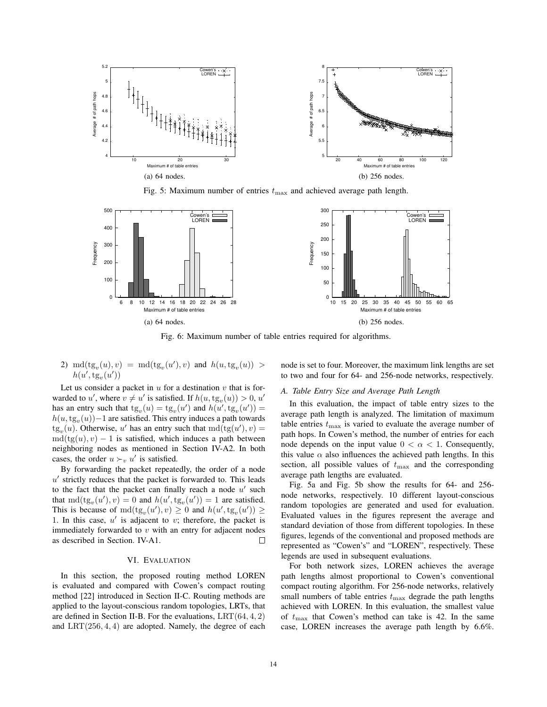

Fig. 5: Maximum number of entries  $t_{\text{max}}$  and achieved average path length.



Fig. 6: Maximum number of table entries required for algorithms.

2) 
$$
md(tg_v(u), v) = md(tg_v(u'), v)
$$
 and  $h(u, tg_v(u)) > h(u', tg_v(u'))$ 

Let us consider a packet in  $u$  for a destination  $v$  that is forwarded to u', where  $v \neq u'$  is satisfied. If  $h(u, \text{tg}_v(u)) > 0$ , u' has an entry such that  $tg_v(u) = tg_v(u')$  and  $h(u', tg_v(u')) =$  $h(u, \text{tg}_{v}(u))-1$  are satisfied. This entry induces a path towards  $\text{tg}_{v}(u)$ . Otherwise, u' has an entry such that  $\text{md}(\text{tg}(u'), v) =$  $md(tg(u), v) - 1$  is satisfied, which induces a path between neighboring nodes as mentioned in Section IV-A2. In both cases, the order  $u \succ_v u'$  is satisfied.

By forwarding the packet repeatedly, the order of a node  $u'$  strictly reduces that the packet is forwarded to. This leads to the fact that the packet can finally reach a node  $u'$  such that  $m d(tg_v(u'), v) = 0$  and  $h(u', tg_v(u')) = 1$  are satisfied. This is because of  $m d(tg_n(u'), v) \geq 0$  and  $h(u', tg_n(u')) \geq 0$ 1. In this case,  $u'$  is adjacent to  $v$ ; therefore, the packet is immediately forwarded to  $v$  with an entry for adjacent nodes as described in Section. IV-A1.  $\Box$ 

# VI. EVALUATION

In this section, the proposed routing method LOREN is evaluated and compared with Cowen's compact routing method [22] introduced in Section II-C. Routing methods are applied to the layout-conscious random topologies, LRTs, that are defined in Section II-B. For the evaluations,  $LRT(64, 4, 2)$ and  $LRT(256, 4, 4)$  are adopted. Namely, the degree of each node is set to four. Moreover, the maximum link lengths are set to two and four for 64- and 256-node networks, respectively.

#### *A. Table Entry Size and Average Path Length*

In this evaluation, the impact of table entry sizes to the average path length is analyzed. The limitation of maximum table entries  $t_{\text{max}}$  is varied to evaluate the average number of path hops. In Cowen's method, the number of entries for each node depends on the input value  $0 < \alpha < 1$ . Consequently, this value  $\alpha$  also influences the achieved path lengths. In this section, all possible values of  $t_{\text{max}}$  and the corresponding average path lengths are evaluated.

Fig. 5a and Fig. 5b show the results for 64- and 256 node networks, respectively. 10 different layout-conscious random topologies are generated and used for evaluation. Evaluated values in the figures represent the average and standard deviation of those from different topologies. In these figures, legends of the conventional and proposed methods are represented as "Cowen's" and "LOREN", respectively. These legends are used in subsequent evaluations.

For both network sizes, LOREN achieves the average path lengths almost proportional to Cowen's conventional compact routing algorithm. For 256-node networks, relatively small numbers of table entries  $t_{\text{max}}$  degrade the path lengths achieved with LOREN. In this evaluation, the smallest value of  $t_{\text{max}}$  that Cowen's method can take is 42. In the same case, LOREN increases the average path length by 6.6%.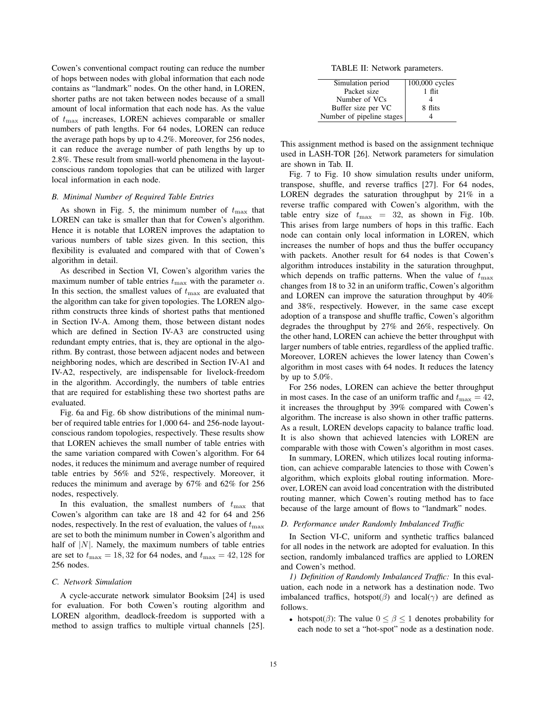Cowen's conventional compact routing can reduce the number of hops between nodes with global information that each node contains as "landmark" nodes. On the other hand, in LOREN, shorter paths are not taken between nodes because of a small amount of local information that each node has. As the value of  $t_{\text{max}}$  increases, LOREN achieves comparable or smaller numbers of path lengths. For 64 nodes, LOREN can reduce the average path hops by up to 4.2%. Moreover, for 256 nodes, it can reduce the average number of path lengths by up to 2.8%. These result from small-world phenomena in the layoutconscious random topologies that can be utilized with larger local information in each node.

#### *B. Minimal Number of Required Table Entries*

As shown in Fig. 5, the minimum number of  $t_{\text{max}}$  that LOREN can take is smaller than that for Cowen's algorithm. Hence it is notable that LOREN improves the adaptation to various numbers of table sizes given. In this section, this flexibility is evaluated and compared with that of Cowen's algorithm in detail.

As described in Section VI, Cowen's algorithm varies the maximum number of table entries  $t_{\text{max}}$  with the parameter  $\alpha$ . In this section, the smallest values of  $t_{\text{max}}$  are evaluated that the algorithm can take for given topologies. The LOREN algorithm constructs three kinds of shortest paths that mentioned in Section IV-A. Among them, those between distant nodes which are defined in Section IV-A3 are constructed using redundant empty entries, that is, they are optional in the algorithm. By contrast, those between adjacent nodes and between neighboring nodes, which are described in Section IV-A1 and IV-A2, respectively, are indispensable for livelock-freedom in the algorithm. Accordingly, the numbers of table entries that are required for establishing these two shortest paths are evaluated.

Fig. 6a and Fig. 6b show distributions of the minimal number of required table entries for 1,000 64- and 256-node layoutconscious random topologies, respectively. These results show that LOREN achieves the small number of table entries with the same variation compared with Cowen's algorithm. For 64 nodes, it reduces the minimum and average number of required table entries by 56% and 52%, respectively. Moreover, it reduces the minimum and average by 67% and 62% for 256 nodes, respectively.

In this evaluation, the smallest numbers of  $t_{\text{max}}$  that Cowen's algorithm can take are 18 and 42 for 64 and 256 nodes, respectively. In the rest of evaluation, the values of  $t_{\text{max}}$ are set to both the minimum number in Cowen's algorithm and half of  $|N|$ . Namely, the maximum numbers of table entries are set to  $t_{\text{max}} = 18,32$  for 64 nodes, and  $t_{\text{max}} = 42,128$  for 256 nodes.

#### *C. Network Simulation*

A cycle-accurate network simulator Booksim [24] is used for evaluation. For both Cowen's routing algorithm and LOREN algorithm, deadlock-freedom is supported with a method to assign traffics to multiple virtual channels [25].

TABLE II: Network parameters.

| Simulation period         | $\overline{100,000}$ cycles |
|---------------------------|-----------------------------|
| Packet size               | $1$ flit                    |
| Number of VCs             |                             |
| Buffer size per VC        | 8 flits                     |
| Number of pipeline stages |                             |

This assignment method is based on the assignment technique used in LASH-TOR [26]. Network parameters for simulation are shown in Tab. II.

Fig. 7 to Fig. 10 show simulation results under uniform, transpose, shuffle, and reverse traffics [27]. For 64 nodes, LOREN degrades the saturation throughput by 21% in a reverse traffic compared with Cowen's algorithm, with the table entry size of  $t_{\text{max}}$  = 32, as shown in Fig. 10b. This arises from large numbers of hops in this traffic. Each node can contain only local information in LOREN, which increases the number of hops and thus the buffer occupancy with packets. Another result for 64 nodes is that Cowen's algorithm introduces instability in the saturation throughput, which depends on traffic patterns. When the value of  $t_{\text{max}}$ changes from 18 to 32 in an uniform traffic, Cowen's algorithm and LOREN can improve the saturation throughput by 40% and 38%, respectively. However, in the same case except adoption of a transpose and shuffle traffic, Cowen's algorithm degrades the throughput by 27% and 26%, respectively. On the other hand, LOREN can achieve the better throughput with larger numbers of table entries, regardless of the applied traffic. Moreover, LOREN achieves the lower latency than Cowen's algorithm in most cases with 64 nodes. It reduces the latency by up to 5.0%.

For 256 nodes, LOREN can achieve the better throughput in most cases. In the case of an uniform traffic and  $t_{\text{max}} = 42$ , it increases the throughput by 39% compared with Cowen's algorithm. The increase is also shown in other traffic patterns. As a result, LOREN develops capacity to balance traffic load. It is also shown that achieved latencies with LOREN are comparable with those with Cowen's algorithm in most cases.

In summary, LOREN, which utilizes local routing information, can achieve comparable latencies to those with Cowen's algorithm, which exploits global routing information. Moreover, LOREN can avoid load concentration with the distributed routing manner, which Cowen's routing method has to face because of the large amount of flows to "landmark" nodes.

#### *D. Performance under Randomly Imbalanced Traffic*

In Section VI-C, uniform and synthetic traffics balanced for all nodes in the network are adopted for evaluation. In this section, randomly imbalanced traffics are applied to LOREN and Cowen's method.

*1) Definition of Randomly Imbalanced Traffic:* In this evaluation, each node in a network has a destination node. Two imbalanced traffics, hotspot( $\beta$ ) and local( $\gamma$ ) are defined as follows.

• hotspot( $\beta$ ): The value  $0 \leq \beta \leq 1$  denotes probability for each node to set a "hot-spot" node as a destination node.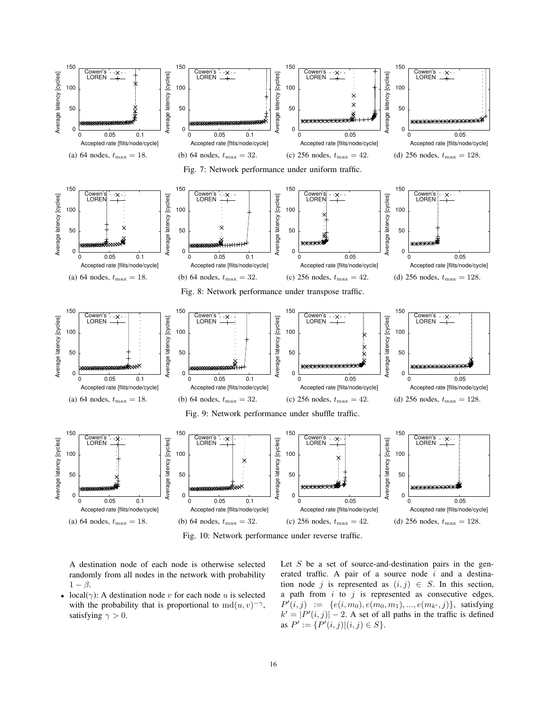

Fig. 10: Network performance under reverse traffic.

A destination node of each node is otherwise selected randomly from all nodes in the network with probability  $1 - \beta$ .

• local( $\gamma$ ): A destination node v for each node u is selected with the probability that is proportional to  $m d(u, v)^{-\gamma}$ , satisfying  $\gamma > 0$ .

Let  $S$  be a set of source-and-destination pairs in the generated traffic. A pair of a source node  $i$  and a destination node j is represented as  $(i, j) \in S$ . In this section, a path from  $i$  to  $j$  is represented as consecutive edges,  $P'(i, j) := \{e(i, m_0), e(m_0, m_1), ..., e(m_{k'}, j)\},$  satisfying  $k' = |P'(i, j)| - 2$ . A set of all paths in the traffic is defined as  $P' := \{P'(i,j) | (i,j) \in S\}.$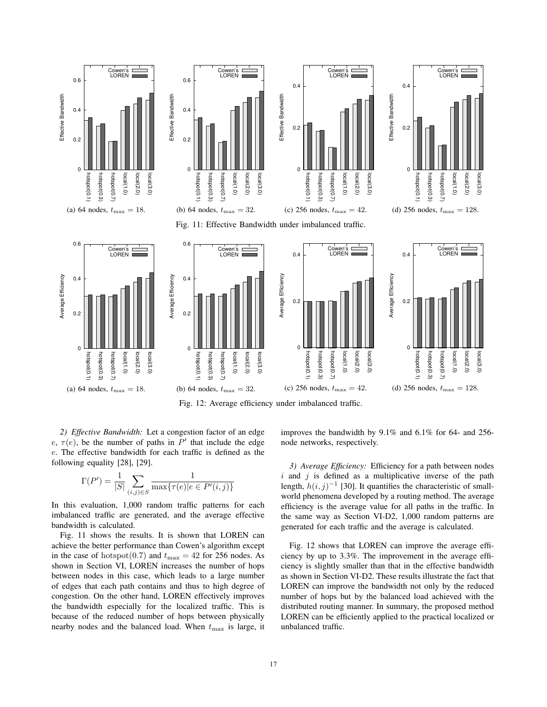

Fig. 12: Average efficiency under imbalanced traffic.

*2) Effective Bandwidth:* Let a congestion factor of an edge e,  $\tau(e)$ , be the number of paths in P' that include the edge e. The effective bandwidth for each traffic is defined as the following equality [28], [29].

$$
\Gamma(P') = \frac{1}{|S|} \sum_{(i,j) \in S} \frac{1}{\max\{\tau(e)|e \in P'(i,j)\}}
$$

In this evaluation, 1,000 random traffic patterns for each imbalanced traffic are generated, and the average effective bandwidth is calculated.

Fig. 11 shows the results. It is shown that LOREN can achieve the better performance than Cowen's algorithm except in the case of hotspot(0.7) and  $t_{\text{max}} = 42$  for 256 nodes. As shown in Section VI, LOREN increases the number of hops between nodes in this case, which leads to a large number of edges that each path contains and thus to high degree of congestion. On the other hand, LOREN effectively improves the bandwidth especially for the localized traffic. This is because of the reduced number of hops between physically nearby nodes and the balanced load. When  $t_{\text{max}}$  is large, it improves the bandwidth by 9.1% and 6.1% for 64- and 256 node networks, respectively.

*3) Average Efficiency:* Efficiency for a path between nodes  $i$  and  $j$  is defined as a multiplicative inverse of the path length,  $h(i, j)^{-1}$  [30]. It quantifies the characteristic of smallworld phenomena developed by a routing method. The average efficiency is the average value for all paths in the traffic. In the same way as Section VI-D2, 1,000 random patterns are generated for each traffic and the average is calculated.

Fig. 12 shows that LOREN can improve the average efficiency by up to 3.3%. The improvement in the average efficiency is slightly smaller than that in the effective bandwidth as shown in Section VI-D2. These results illustrate the fact that LOREN can improve the bandwidth not only by the reduced number of hops but by the balanced load achieved with the distributed routing manner. In summary, the proposed method LOREN can be efficiently applied to the practical localized or unbalanced traffic.